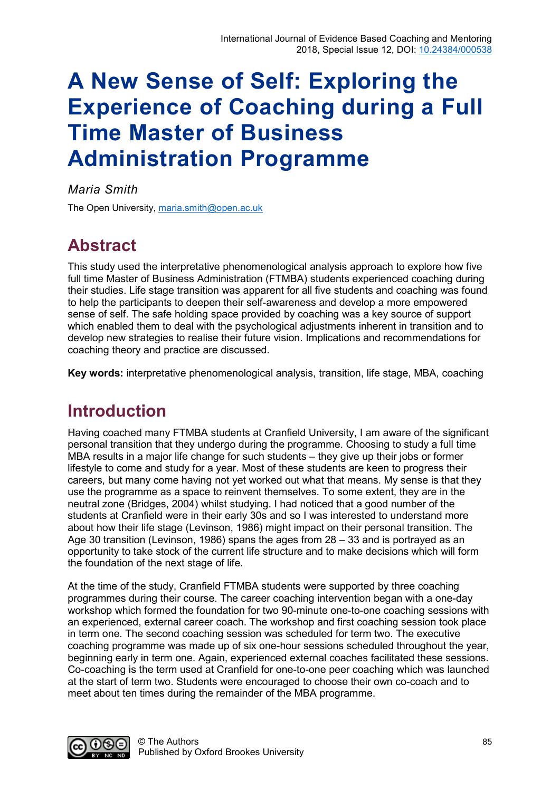# **A New Sense of Self: Exploring the Experience of Coaching during a Full Time Master of Business Administration Programme**

## *Maria Smith*

The Open University, [maria.smith@open.ac.uk](mailto:maria.smith@open.ac.uk) 

## **Abstract**

This study used the interpretative phenomenological analysis approach to explore how five full time Master of Business Administration (FTMBA) students experienced coaching during their studies. Life stage transition was apparent for all five students and coaching was found to help the participants to deepen their self-awareness and develop a more empowered sense of self. The safe holding space provided by coaching was a key source of support which enabled them to deal with the psychological adjustments inherent in transition and to develop new strategies to realise their future vision. Implications and recommendations for coaching theory and practice are discussed.

**Key words:** interpretative phenomenological analysis, transition, life stage, MBA, coaching

## **Introduction**

Having coached many FTMBA students at Cranfield University, I am aware of the significant personal transition that they undergo during the programme. Choosing to study a full time MBA results in a major life change for such students – they give up their jobs or former lifestyle to come and study for a year. Most of these students are keen to progress their careers, but many come having not yet worked out what that means. My sense is that they use the programme as a space to reinvent themselves. To some extent, they are in the neutral zone (Bridges, 2004) whilst studying. I had noticed that a good number of the students at Cranfield were in their early 30s and so I was interested to understand more about how their life stage (Levinson, 1986) might impact on their personal transition. The Age 30 transition (Levinson, 1986) spans the ages from 28 – 33 and is portrayed as an opportunity to take stock of the current life structure and to make decisions which will form the foundation of the next stage of life.

At the time of the study, Cranfield FTMBA students were supported by three coaching programmes during their course. The career coaching intervention began with a one-day workshop which formed the foundation for two 90-minute one-to-one coaching sessions with an experienced, external career coach. The workshop and first coaching session took place in term one. The second coaching session was scheduled for term two. The executive coaching programme was made up of six one-hour sessions scheduled throughout the year, beginning early in term one. Again, experienced external coaches facilitated these sessions. Co-coaching is the term used at Cranfield for one-to-one peer coaching which was launched at the start of term two. Students were encouraged to choose their own co-coach and to meet about ten times during the remainder of the MBA programme.

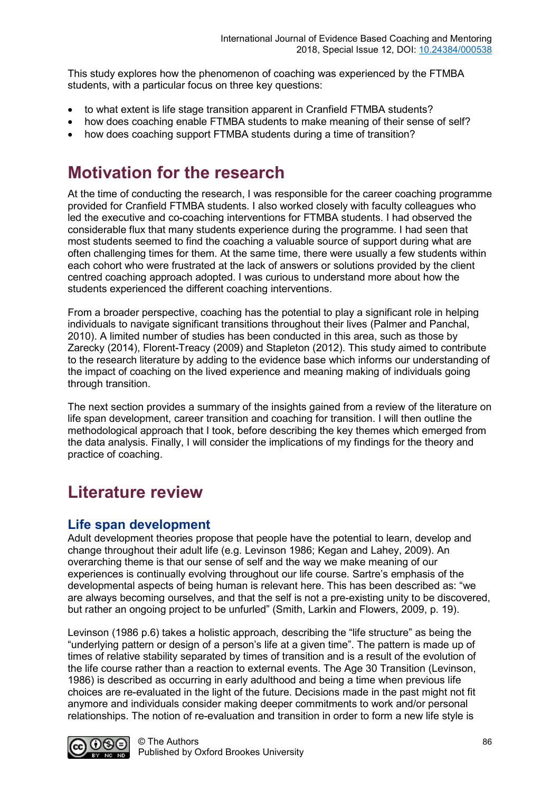This study explores how the phenomenon of coaching was experienced by the FTMBA students, with a particular focus on three key questions:

- to what extent is life stage transition apparent in Cranfield FTMBA students?
- how does coaching enable FTMBA students to make meaning of their sense of self?
- how does coaching support FTMBA students during a time of transition?

## **Motivation for the research**

At the time of conducting the research, I was responsible for the career coaching programme provided for Cranfield FTMBA students. I also worked closely with faculty colleagues who led the executive and co-coaching interventions for FTMBA students. I had observed the considerable flux that many students experience during the programme. I had seen that most students seemed to find the coaching a valuable source of support during what are often challenging times for them. At the same time, there were usually a few students within each cohort who were frustrated at the lack of answers or solutions provided by the client centred coaching approach adopted. I was curious to understand more about how the students experienced the different coaching interventions.

From a broader perspective, coaching has the potential to play a significant role in helping individuals to navigate significant transitions throughout their lives (Palmer and Panchal, 2010). A limited number of studies has been conducted in this area, such as those by Zarecky (2014), Florent-Treacy (2009) and Stapleton (2012). This study aimed to contribute to the research literature by adding to the evidence base which informs our understanding of the impact of coaching on the lived experience and meaning making of individuals going through transition.

The next section provides a summary of the insights gained from a review of the literature on life span development, career transition and coaching for transition. I will then outline the methodological approach that I took, before describing the key themes which emerged from the data analysis. Finally, I will consider the implications of my findings for the theory and practice of coaching.

## **Literature review**

## **Life span development**

Adult development theories propose that people have the potential to learn, develop and change throughout their adult life (e.g. Levinson 1986; Kegan and Lahey, 2009). An overarching theme is that our sense of self and the way we make meaning of our experiences is continually evolving throughout our life course. Sartre's emphasis of the developmental aspects of being human is relevant here. This has been described as: "we are always becoming ourselves, and that the self is not a pre-existing unity to be discovered, but rather an ongoing project to be unfurled" (Smith, Larkin and Flowers, 2009, p. 19).

Levinson (1986 p.6) takes a holistic approach, describing the "life structure" as being the "underlying pattern or design of a person's life at a given time". The pattern is made up of times of relative stability separated by times of transition and is a result of the evolution of the life course rather than a reaction to external events. The Age 30 Transition (Levinson, 1986) is described as occurring in early adulthood and being a time when previous life choices are re-evaluated in the light of the future. Decisions made in the past might not fit anymore and individuals consider making deeper commitments to work and/or personal relationships. The notion of re-evaluation and transition in order to form a new life style is

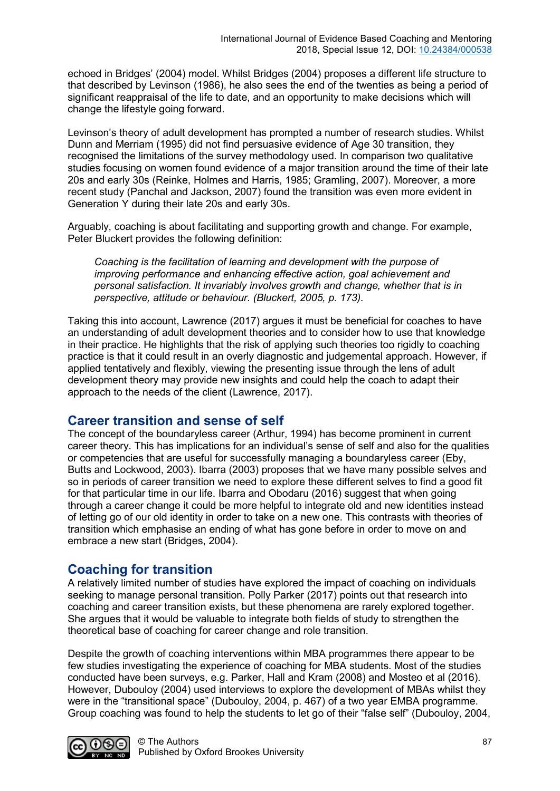echoed in Bridges' (2004) model. Whilst Bridges (2004) proposes a different life structure to that described by Levinson (1986), he also sees the end of the twenties as being a period of significant reappraisal of the life to date, and an opportunity to make decisions which will change the lifestyle going forward.

Levinson's theory of adult development has prompted a number of research studies. Whilst Dunn and Merriam (1995) did not find persuasive evidence of Age 30 transition, they recognised the limitations of the survey methodology used. In comparison two qualitative studies focusing on women found evidence of a major transition around the time of their late 20s and early 30s (Reinke, Holmes and Harris, 1985; Gramling, 2007). Moreover, a more recent study (Panchal and Jackson, 2007) found the transition was even more evident in Generation Y during their late 20s and early 30s.

Arguably, coaching is about facilitating and supporting growth and change. For example, Peter Bluckert provides the following definition:

*Coaching is the facilitation of learning and development with the purpose of improving performance and enhancing effective action, goal achievement and personal satisfaction. It invariably involves growth and change, whether that is in perspective, attitude or behaviour. (Bluckert, 2005, p. 173).* 

Taking this into account, Lawrence (2017) argues it must be beneficial for coaches to have an understanding of adult development theories and to consider how to use that knowledge in their practice. He highlights that the risk of applying such theories too rigidly to coaching practice is that it could result in an overly diagnostic and judgemental approach. However, if applied tentatively and flexibly, viewing the presenting issue through the lens of adult development theory may provide new insights and could help the coach to adapt their approach to the needs of the client (Lawrence, 2017).

## **Career transition and sense of self**

The concept of the boundaryless career (Arthur, 1994) has become prominent in current career theory. This has implications for an individual's sense of self and also for the qualities or competencies that are useful for successfully managing a boundaryless career (Eby, Butts and Lockwood, 2003). Ibarra (2003) proposes that we have many possible selves and so in periods of career transition we need to explore these different selves to find a good fit for that particular time in our life. Ibarra and Obodaru (2016) suggest that when going through a career change it could be more helpful to integrate old and new identities instead of letting go of our old identity in order to take on a new one. This contrasts with theories of transition which emphasise an ending of what has gone before in order to move on and embrace a new start (Bridges, 2004).

## **Coaching for transition**

A relatively limited number of studies have explored the impact of coaching on individuals seeking to manage personal transition. Polly Parker (2017) points out that research into coaching and career transition exists, but these phenomena are rarely explored together. She argues that it would be valuable to integrate both fields of study to strengthen the theoretical base of coaching for career change and role transition.

Despite the growth of coaching interventions within MBA programmes there appear to be few studies investigating the experience of coaching for MBA students. Most of the studies conducted have been surveys, e.g. Parker, Hall and Kram (2008) and Mosteo et al (2016). However, Dubouloy (2004) used interviews to explore the development of MBAs whilst they were in the "transitional space" (Dubouloy, 2004, p. 467) of a two year EMBA programme. Group coaching was found to help the students to let go of their "false self" (Dubouloy, 2004,

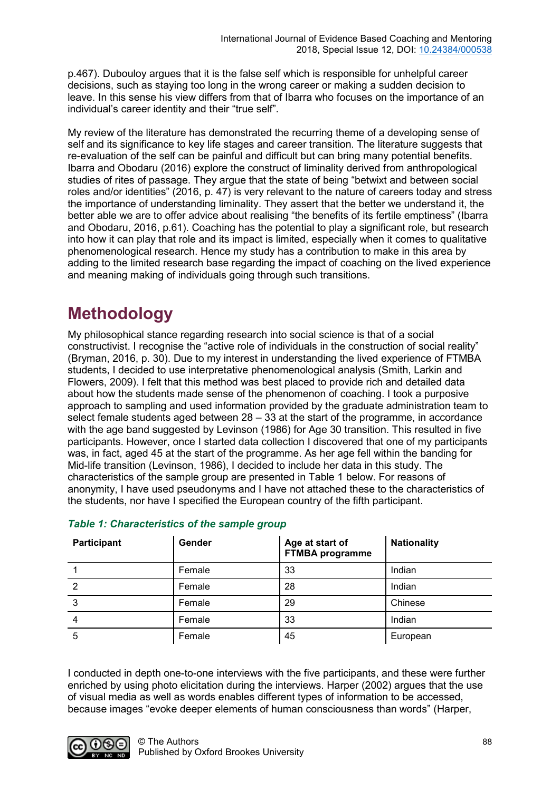p.467). Dubouloy argues that it is the false self which is responsible for unhelpful career decisions, such as staying too long in the wrong career or making a sudden decision to leave. In this sense his view differs from that of Ibarra who focuses on the importance of an individual's career identity and their "true self".

My review of the literature has demonstrated the recurring theme of a developing sense of self and its significance to key life stages and career transition. The literature suggests that re-evaluation of the self can be painful and difficult but can bring many potential benefits. Ibarra and Obodaru (2016) explore the construct of liminality derived from anthropological studies of rites of passage. They argue that the state of being "betwixt and between social roles and/or identities" (2016, p. 47) is very relevant to the nature of careers today and stress the importance of understanding liminality. They assert that the better we understand it, the better able we are to offer advice about realising "the benefits of its fertile emptiness" (Ibarra and Obodaru, 2016, p.61). Coaching has the potential to play a significant role, but research into how it can play that role and its impact is limited, especially when it comes to qualitative phenomenological research. Hence my study has a contribution to make in this area by adding to the limited research base regarding the impact of coaching on the lived experience and meaning making of individuals going through such transitions.

## **Methodology**

My philosophical stance regarding research into social science is that of a social constructivist. I recognise the "active role of individuals in the construction of social reality" (Bryman, 2016, p. 30). Due to my interest in understanding the lived experience of FTMBA students, I decided to use interpretative phenomenological analysis (Smith, Larkin and Flowers, 2009). I felt that this method was best placed to provide rich and detailed data about how the students made sense of the phenomenon of coaching. I took a purposive approach to sampling and used information provided by the graduate administration team to select female students aged between 28 – 33 at the start of the programme, in accordance with the age band suggested by Levinson (1986) for Age 30 transition. This resulted in five participants. However, once I started data collection I discovered that one of my participants was, in fact, aged 45 at the start of the programme. As her age fell within the banding for Mid-life transition (Levinson, 1986), I decided to include her data in this study. The characteristics of the sample group are presented in Table 1 below. For reasons of anonymity, I have used pseudonyms and I have not attached these to the characteristics of the students, nor have I specified the European country of the fifth participant.

| Participant    | Gender | Age at start of<br><b>FTMBA</b> programme | <b>Nationality</b> |
|----------------|--------|-------------------------------------------|--------------------|
|                | Female | 33                                        | Indian             |
| $\overline{2}$ | Female | 28                                        | Indian             |
| 3              | Female | 29                                        | Chinese            |
| $\overline{4}$ | Female | 33                                        | Indian             |
| 5              | Female | 45                                        | European           |

## *Table 1: Characteristics of the sample group*

I conducted in depth one-to-one interviews with the five participants, and these were further enriched by using photo elicitation during the interviews. Harper (2002) argues that the use of visual media as well as words enables different types of information to be accessed, because images "evoke deeper elements of human consciousness than words" (Harper,

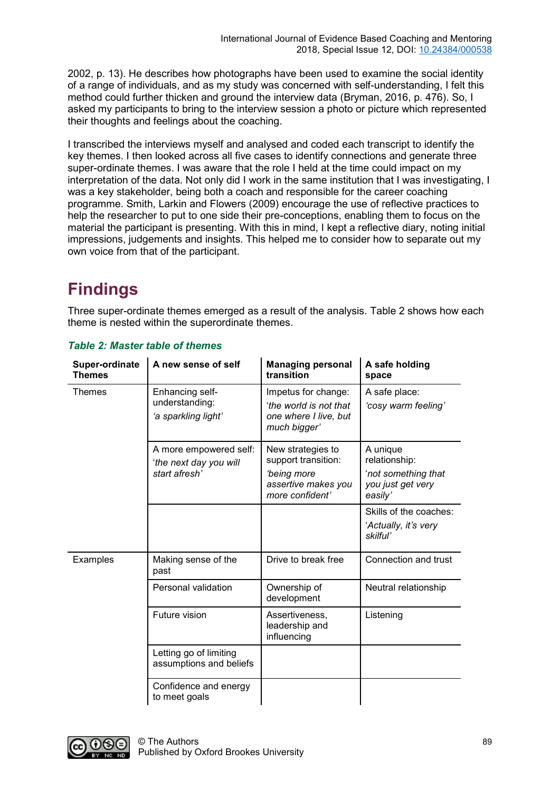2002, p. 13). He describes how photographs have been used to examine the social identity of a range of individuals, and as my study was concerned with self-understanding, I felt this method could further thicken and ground the interview data (Bryman, 2016, p. 476). So, I asked my participants to bring to the interview session a photo or picture which represented their thoughts and feelings about the coaching.

I transcribed the interviews myself and analysed and coded each transcript to identify the key themes. I then looked across all five cases to identify connections and generate three super-ordinate themes. I was aware that the role I held at the time could impact on my interpretation of the data. Not only did I work in the same institution that I was investigating, I was a key stakeholder, being both a coach and responsible for the career coaching programme. Smith, Larkin and Flowers (2009) encourage the use of reflective practices to help the researcher to put to one side their pre-conceptions, enabling them to focus on the material the participant is presenting. With this in mind, I kept a reflective diary, noting initial impressions, judgements and insights. This helped me to consider how to separate out my own voice from that of the participant.

## **Findings**

Three super-ordinate themes emerged as a result of the analysis. Table 2 shows how each theme is nested within the superordinate themes.

| <b>Super-ordinate</b><br><b>Themes</b> | A new sense of self                                               | <b>Managing personal</b><br>transition                                                                   | A safe holding<br>space                                                          |
|----------------------------------------|-------------------------------------------------------------------|----------------------------------------------------------------------------------------------------------|----------------------------------------------------------------------------------|
| Themes                                 | Enhancing self-<br>understanding:<br>'a sparkling light'          | Impetus for change:<br>'the world is not that<br>one where I live, but<br>much bigger'                   | A safe place:<br>'cosy warm feeling'                                             |
|                                        | A more empowered self:<br>'the next day you will<br>start afresh' | New strategies to<br>support transition:<br><i>'being more</i><br>assertive makes you<br>more confident' | A unique<br>relationship:<br>'not something that<br>you just get very<br>easily' |
|                                        |                                                                   |                                                                                                          | Skills of the coaches:<br>'Actually, it's very<br>skilful'                       |
| Examples                               | Making sense of the<br>past                                       | Drive to break free                                                                                      | Connection and trust                                                             |
|                                        | Personal validation                                               | Ownership of<br>development                                                                              | Neutral relationship                                                             |
|                                        | Future vision                                                     | Assertiveness,<br>leadership and<br>influencing                                                          | Listening                                                                        |
|                                        | Letting go of limiting<br>assumptions and beliefs                 |                                                                                                          |                                                                                  |
|                                        | Confidence and energy<br>to meet goals                            |                                                                                                          |                                                                                  |

#### *Table 2: Master table of themes*  $\mathbf{L}^{\mathrm{max}}$

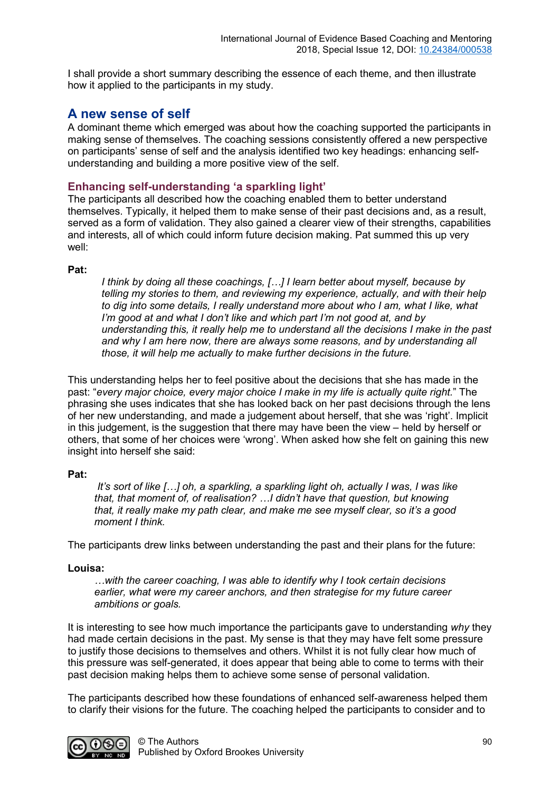I shall provide a short summary describing the essence of each theme, and then illustrate how it applied to the participants in my study.

## **A new sense of self**

A dominant theme which emerged was about how the coaching supported the participants in making sense of themselves. The coaching sessions consistently offered a new perspective on participants' sense of self and the analysis identified two key headings: enhancing selfunderstanding and building a more positive view of the self.

### **Enhancing self-understanding 'a sparkling light'**

The participants all described how the coaching enabled them to better understand themselves. Typically, it helped them to make sense of their past decisions and, as a result, served as a form of validation. They also gained a clearer view of their strengths, capabilities and interests, all of which could inform future decision making. Pat summed this up very well:

### **Pat:**

*I think by doing all these coachings, […] I learn better about myself, because by telling my stories to them, and reviewing my experience, actually, and with their help*  to dig into some details. I really understand more about who I am, what I like, what *I'm good at and what I don't like and which part I'm not good at, and by understanding this, it really help me to understand all the decisions I make in the past and why I am here now, there are always some reasons, and by understanding all those, it will help me actually to make further decisions in the future.*

This understanding helps her to feel positive about the decisions that she has made in the past: "*every major choice, every major choice I make in my life is actually quite right.*" The phrasing she uses indicates that she has looked back on her past decisions through the lens of her new understanding, and made a judgement about herself, that she was 'right'. Implicit in this judgement, is the suggestion that there may have been the view – held by herself or others, that some of her choices were 'wrong'. When asked how she felt on gaining this new insight into herself she said:

### **Pat:**

*It's sort of like […] oh, a sparkling, a sparkling light oh, actually I was, I was like that, that moment of, of realisation? …I didn't have that question, but knowing that, it really make my path clear, and make me see myself clear, so it's a good moment I think.*

The participants drew links between understanding the past and their plans for the future:

### **Louisa:**

*…with the career coaching, I was able to identify why I took certain decisions earlier, what were my career anchors, and then strategise for my future career ambitions or goals.*

It is interesting to see how much importance the participants gave to understanding *why* they had made certain decisions in the past. My sense is that they may have felt some pressure to justify those decisions to themselves and others. Whilst it is not fully clear how much of this pressure was self-generated, it does appear that being able to come to terms with their past decision making helps them to achieve some sense of personal validation.

The participants described how these foundations of enhanced self-awareness helped them to clarify their visions for the future. The coaching helped the participants to consider and to

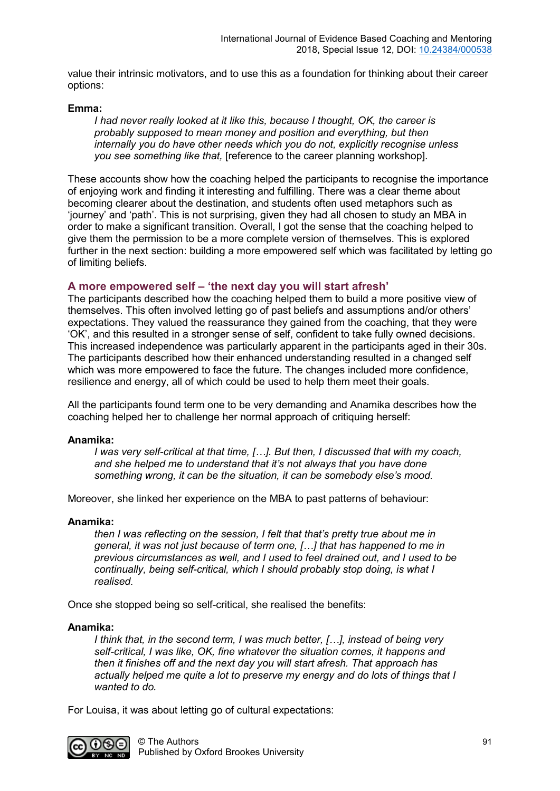value their intrinsic motivators, and to use this as a foundation for thinking about their career options:

#### **Emma:**

*I had never really looked at it like this, because I thought, OK, the career is probably supposed to mean money and position and everything, but then internally you do have other needs which you do not, explicitly recognise unless you see something like that,* [reference to the career planning workshop].

These accounts show how the coaching helped the participants to recognise the importance of enjoying work and finding it interesting and fulfilling. There was a clear theme about becoming clearer about the destination, and students often used metaphors such as 'journey' and 'path'. This is not surprising, given they had all chosen to study an MBA in order to make a significant transition. Overall, I got the sense that the coaching helped to give them the permission to be a more complete version of themselves. This is explored further in the next section: building a more empowered self which was facilitated by letting go of limiting beliefs.

#### **A more empowered self – 'the next day you will start afresh'**

The participants described how the coaching helped them to build a more positive view of themselves. This often involved letting go of past beliefs and assumptions and/or others' expectations. They valued the reassurance they gained from the coaching, that they were 'OK', and this resulted in a stronger sense of self, confident to take fully owned decisions. This increased independence was particularly apparent in the participants aged in their 30s. The participants described how their enhanced understanding resulted in a changed self which was more empowered to face the future. The changes included more confidence, resilience and energy, all of which could be used to help them meet their goals.

All the participants found term one to be very demanding and Anamika describes how the coaching helped her to challenge her normal approach of critiquing herself:

#### **Anamika:**

*I was very self-critical at that time, […]. But then, I discussed that with my coach, and she helped me to understand that it's not always that you have done something wrong, it can be the situation, it can be somebody else's mood.* 

Moreover, she linked her experience on the MBA to past patterns of behaviour:

#### **Anamika:**

*then I was reflecting on the session, I felt that that's pretty true about me in general, it was not just because of term one, […] that has happened to me in previous circumstances as well, and I used to feel drained out, and I used to be continually, being self-critical, which I should probably stop doing, is what I realised.*

Once she stopped being so self-critical, she realised the benefits:

#### **Anamika:**

*I think that, in the second term, I was much better, […], instead of being very self-critical, I was like, OK, fine whatever the situation comes, it happens and then it finishes off and the next day you will start afresh. That approach has actually helped me quite a lot to preserve my energy and do lots of things that I wanted to do.*

For Louisa, it was about letting go of cultural expectations:

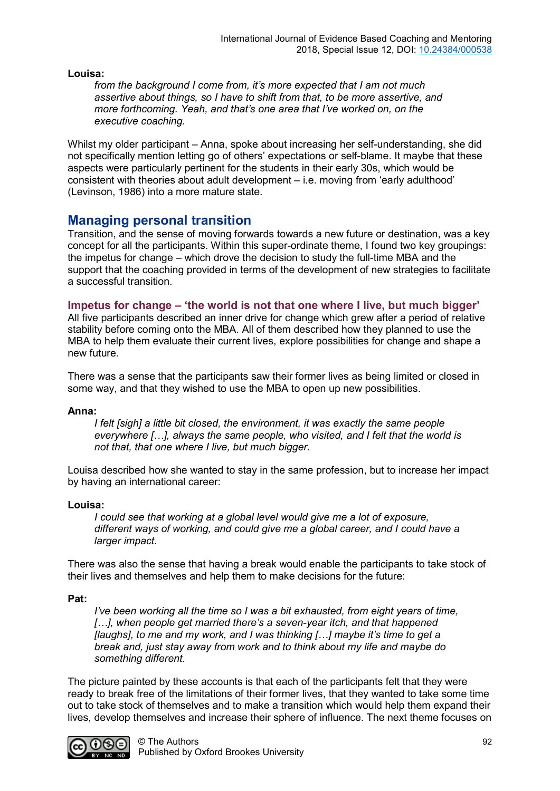**Louisa:**

*from the background I come from, it's more expected that I am not much assertive about things, so I have to shift from that, to be more assertive, and more forthcoming. Yeah, and that's one area that I've worked on, on the executive coaching.*

Whilst my older participant – Anna, spoke about increasing her self-understanding, she did not specifically mention letting go of others' expectations or self-blame. It maybe that these aspects were particularly pertinent for the students in their early 30s, which would be consistent with theories about adult development – i.e. moving from 'early adulthood' (Levinson, 1986) into a more mature state.

## **Managing personal transition**

Transition, and the sense of moving forwards towards a new future or destination, was a key concept for all the participants. Within this super-ordinate theme, I found two key groupings: the impetus for change – which drove the decision to study the full-time MBA and the support that the coaching provided in terms of the development of new strategies to facilitate a successful transition.

### **Impetus for change – 'the world is not that one where I live, but much bigger'**

All five participants described an inner drive for change which grew after a period of relative stability before coming onto the MBA. All of them described how they planned to use the MBA to help them evaluate their current lives, explore possibilities for change and shape a new future.

There was a sense that the participants saw their former lives as being limited or closed in some way, and that they wished to use the MBA to open up new possibilities.

### **Anna:**

*I felt [sigh] a little bit closed, the environment, it was exactly the same people everywhere […], always the same people, who visited, and I felt that the world is not that, that one where I live, but much bigger.*

Louisa described how she wanted to stay in the same profession, but to increase her impact by having an international career:

#### **Louisa:**

*I could see that working at a global level would give me a lot of exposure, different ways of working, and could give me a global career, and I could have a larger impact.*

There was also the sense that having a break would enable the participants to take stock of their lives and themselves and help them to make decisions for the future:

#### **Pat:**

*I've been working all the time so I was a bit exhausted, from eight years of time, […], when people get married there's a seven-year itch, and that happened [laughs], to me and my work, and I was thinking […] maybe it's time to get a break and, just stay away from work and to think about my life and maybe do something different.*

The picture painted by these accounts is that each of the participants felt that they were ready to break free of the limitations of their former lives, that they wanted to take some time out to take stock of themselves and to make a transition which would help them expand their lives, develop themselves and increase their sphere of influence. The next theme focuses on

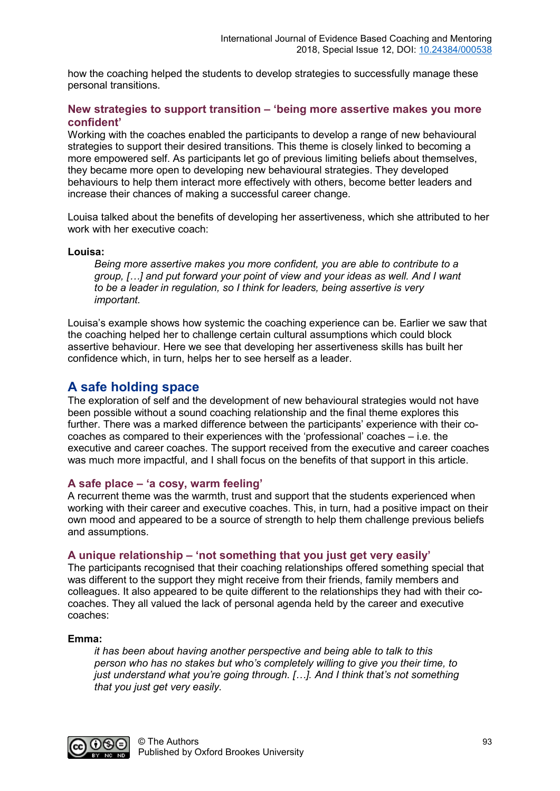how the coaching helped the students to develop strategies to successfully manage these personal transitions.

### **New strategies to support transition – 'being more assertive makes you more confident'**

Working with the coaches enabled the participants to develop a range of new behavioural strategies to support their desired transitions. This theme is closely linked to becoming a more empowered self. As participants let go of previous limiting beliefs about themselves, they became more open to developing new behavioural strategies. They developed behaviours to help them interact more effectively with others, become better leaders and increase their chances of making a successful career change.

Louisa talked about the benefits of developing her assertiveness, which she attributed to her work with her executive coach:

#### **Louisa:**

*Being more assertive makes you more confident, you are able to contribute to a group, […] and put forward your point of view and your ideas as well. And I want to be a leader in regulation, so I think for leaders, being assertive is very important.*

Louisa's example shows how systemic the coaching experience can be. Earlier we saw that the coaching helped her to challenge certain cultural assumptions which could block assertive behaviour. Here we see that developing her assertiveness skills has built her confidence which, in turn, helps her to see herself as a leader.

### **A safe holding space**

The exploration of self and the development of new behavioural strategies would not have been possible without a sound coaching relationship and the final theme explores this further. There was a marked difference between the participants' experience with their cocoaches as compared to their experiences with the 'professional' coaches – i.e. the executive and career coaches. The support received from the executive and career coaches was much more impactful, and I shall focus on the benefits of that support in this article.

#### **A safe place – 'a cosy, warm feeling'**

A recurrent theme was the warmth, trust and support that the students experienced when working with their career and executive coaches. This, in turn, had a positive impact on their own mood and appeared to be a source of strength to help them challenge previous beliefs and assumptions.

### **A unique relationship – 'not something that you just get very easily'**

The participants recognised that their coaching relationships offered something special that was different to the support they might receive from their friends, family members and colleagues. It also appeared to be quite different to the relationships they had with their cocoaches. They all valued the lack of personal agenda held by the career and executive coaches:

#### **Emma:**

*it has been about having another perspective and being able to talk to this person who has no stakes but who's completely willing to give you their time, to just understand what you're going through. […]. And I think that's not something that you just get very easily.* 

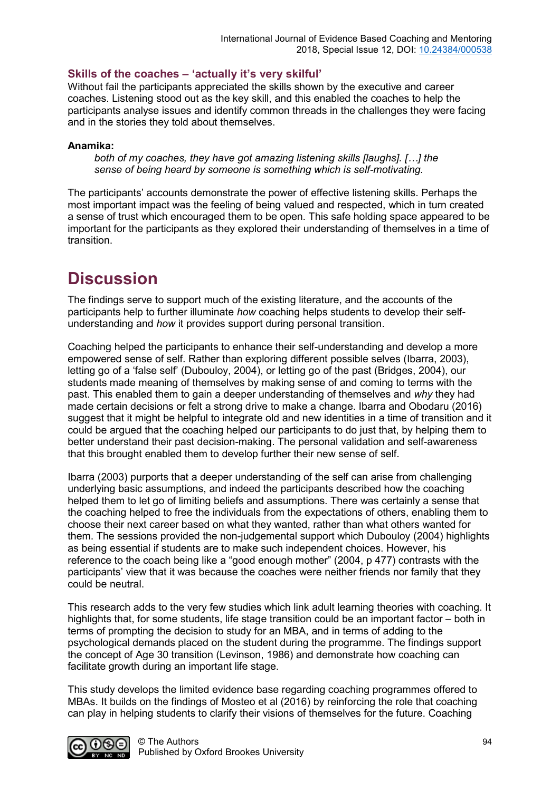### **Skills of the coaches – 'actually it's very skilful'**

Without fail the participants appreciated the skills shown by the executive and career coaches. Listening stood out as the key skill, and this enabled the coaches to help the participants analyse issues and identify common threads in the challenges they were facing and in the stories they told about themselves.

#### **Anamika:**

*both of my coaches, they have got amazing listening skills [laughs]. […] the sense of being heard by someone is something which is self-motivating.* 

The participants' accounts demonstrate the power of effective listening skills. Perhaps the most important impact was the feeling of being valued and respected, which in turn created a sense of trust which encouraged them to be open. This safe holding space appeared to be important for the participants as they explored their understanding of themselves in a time of transition.

## **Discussion**

The findings serve to support much of the existing literature, and the accounts of the participants help to further illuminate *how* coaching helps students to develop their selfunderstanding and *how* it provides support during personal transition.

Coaching helped the participants to enhance their self-understanding and develop a more empowered sense of self. Rather than exploring different possible selves (Ibarra, 2003), letting go of a 'false self' (Dubouloy, 2004), or letting go of the past (Bridges, 2004), our students made meaning of themselves by making sense of and coming to terms with the past. This enabled them to gain a deeper understanding of themselves and *why* they had made certain decisions or felt a strong drive to make a change. Ibarra and Obodaru (2016) suggest that it might be helpful to integrate old and new identities in a time of transition and it could be argued that the coaching helped our participants to do just that, by helping them to better understand their past decision-making. The personal validation and self-awareness that this brought enabled them to develop further their new sense of self.

Ibarra (2003) purports that a deeper understanding of the self can arise from challenging underlying basic assumptions, and indeed the participants described how the coaching helped them to let go of limiting beliefs and assumptions. There was certainly a sense that the coaching helped to free the individuals from the expectations of others, enabling them to choose their next career based on what they wanted, rather than what others wanted for them. The sessions provided the non-judgemental support which Dubouloy (2004) highlights as being essential if students are to make such independent choices. However, his reference to the coach being like a "good enough mother" (2004, p 477) contrasts with the participants' view that it was because the coaches were neither friends nor family that they could be neutral.

This research adds to the very few studies which link adult learning theories with coaching. It highlights that, for some students, life stage transition could be an important factor – both in terms of prompting the decision to study for an MBA, and in terms of adding to the psychological demands placed on the student during the programme. The findings support the concept of Age 30 transition (Levinson, 1986) and demonstrate how coaching can facilitate growth during an important life stage.

This study develops the limited evidence base regarding coaching programmes offered to MBAs. It builds on the findings of Mosteo et al (2016) by reinforcing the role that coaching can play in helping students to clarify their visions of themselves for the future. Coaching

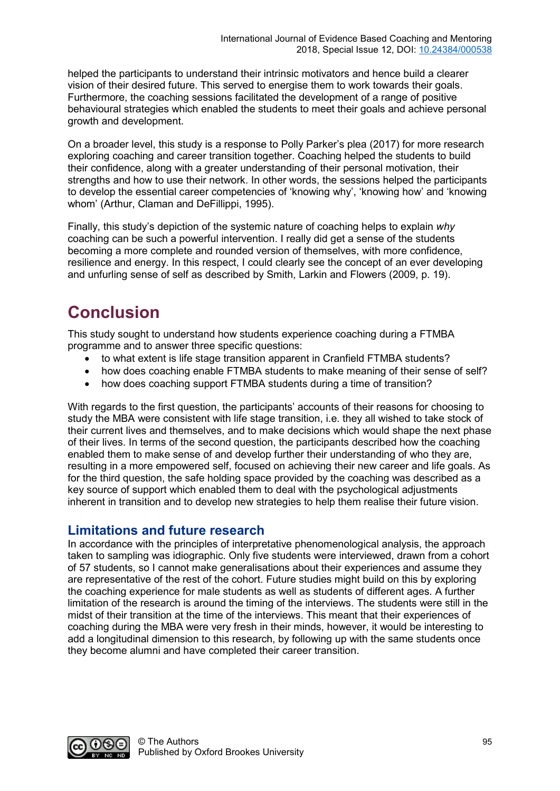helped the participants to understand their intrinsic motivators and hence build a clearer vision of their desired future. This served to energise them to work towards their goals. Furthermore, the coaching sessions facilitated the development of a range of positive behavioural strategies which enabled the students to meet their goals and achieve personal growth and development.

On a broader level, this study is a response to Polly Parker's plea (2017) for more research exploring coaching and career transition together. Coaching helped the students to build their confidence, along with a greater understanding of their personal motivation, their strengths and how to use their network. In other words, the sessions helped the participants to develop the essential career competencies of 'knowing why', 'knowing how' and 'knowing whom' (Arthur, Claman and DeFillippi, 1995).

Finally, this study's depiction of the systemic nature of coaching helps to explain *why*  coaching can be such a powerful intervention. I really did get a sense of the students becoming a more complete and rounded version of themselves, with more confidence, resilience and energy. In this respect, I could clearly see the concept of an ever developing and unfurling sense of self as described by Smith, Larkin and Flowers (2009, p. 19).

## **Conclusion**

This study sought to understand how students experience coaching during a FTMBA programme and to answer three specific questions:

- to what extent is life stage transition apparent in Cranfield FTMBA students?
- how does coaching enable FTMBA students to make meaning of their sense of self?
- how does coaching support FTMBA students during a time of transition?

With regards to the first question, the participants' accounts of their reasons for choosing to study the MBA were consistent with life stage transition, i.e. they all wished to take stock of their current lives and themselves, and to make decisions which would shape the next phase of their lives. In terms of the second question, the participants described how the coaching enabled them to make sense of and develop further their understanding of who they are, resulting in a more empowered self, focused on achieving their new career and life goals. As for the third question, the safe holding space provided by the coaching was described as a key source of support which enabled them to deal with the psychological adjustments inherent in transition and to develop new strategies to help them realise their future vision.

## **Limitations and future research**

In accordance with the principles of interpretative phenomenological analysis, the approach taken to sampling was idiographic. Only five students were interviewed, drawn from a cohort of 57 students, so I cannot make generalisations about their experiences and assume they are representative of the rest of the cohort. Future studies might build on this by exploring the coaching experience for male students as well as students of different ages. A further limitation of the research is around the timing of the interviews. The students were still in the midst of their transition at the time of the interviews. This meant that their experiences of coaching during the MBA were very fresh in their minds, however, it would be interesting to add a longitudinal dimension to this research, by following up with the same students once they become alumni and have completed their career transition.

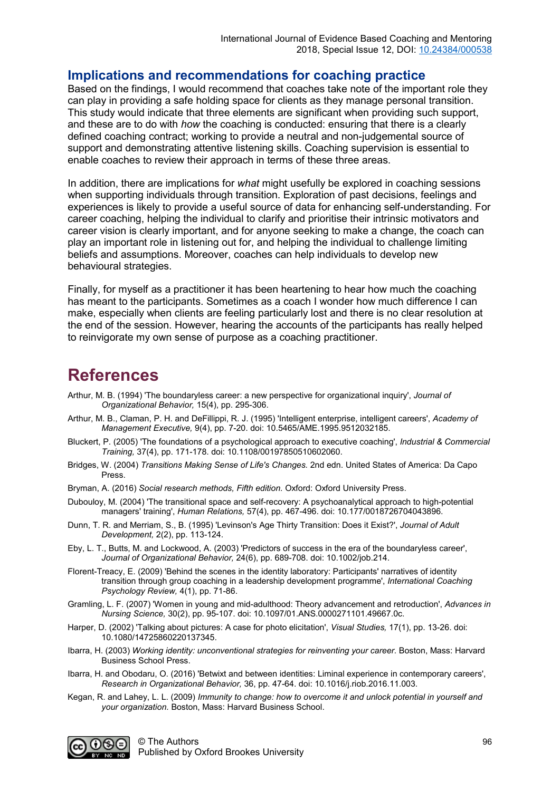## **Implications and recommendations for coaching practice**

Based on the findings, I would recommend that coaches take note of the important role they can play in providing a safe holding space for clients as they manage personal transition. This study would indicate that three elements are significant when providing such support, and these are to do with *how* the coaching is conducted: ensuring that there is a clearly defined coaching contract; working to provide a neutral and non-judgemental source of support and demonstrating attentive listening skills. Coaching supervision is essential to enable coaches to review their approach in terms of these three areas.

In addition, there are implications for *what* might usefully be explored in coaching sessions when supporting individuals through transition. Exploration of past decisions, feelings and experiences is likely to provide a useful source of data for enhancing self-understanding. For career coaching, helping the individual to clarify and prioritise their intrinsic motivators and career vision is clearly important, and for anyone seeking to make a change, the coach can play an important role in listening out for, and helping the individual to challenge limiting beliefs and assumptions. Moreover, coaches can help individuals to develop new behavioural strategies.

Finally, for myself as a practitioner it has been heartening to hear how much the coaching has meant to the participants. Sometimes as a coach I wonder how much difference I can make, especially when clients are feeling particularly lost and there is no clear resolution at the end of the session. However, hearing the accounts of the participants has really helped to reinvigorate my own sense of purpose as a coaching practitioner.

## **References**

- Arthur, M. B. (1994) 'The boundaryless career: a new perspective for organizational inquiry', *Journal of Organizational Behavior,* 15(4), pp. 295-306.
- Arthur, M. B., Claman, P. H. and DeFillippi, R. J. (1995) 'Intelligent enterprise, intelligent careers', *Academy of Management Executive,* 9(4), pp. 7-20. doi: 10.5465/AME.1995.9512032185.
- Bluckert, P. (2005) 'The foundations of a psychological approach to executive coaching', *Industrial & Commercial Training,* 37(4), pp. 171-178. doi: 10.1108/00197850510602060.
- Bridges, W. (2004) *Transitions Making Sense of Life's Changes.* 2nd edn. United States of America: Da Capo Press.
- Bryman, A. (2016) *Social research methods, Fifth edition.* Oxford: Oxford University Press.
- Dubouloy, M. (2004) 'The transitional space and self-recovery: A psychoanalytical approach to high-potential managers' training', *Human Relations,* 57(4), pp. 467-496. doi: 10.177/0018726704043896.
- Dunn, T. R. and Merriam, S., B. (1995) 'Levinson's Age Thirty Transition: Does it Exist?', *Journal of Adult Development,* 2(2), pp. 113-124.
- Eby, L. T., Butts, M. and Lockwood, A. (2003) 'Predictors of success in the era of the boundaryless career', *Journal of Organizational Behavior,* 24(6), pp. 689-708. doi: 10.1002/job.214.
- Florent-Treacy, E. (2009) 'Behind the scenes in the identity laboratory: Participants' narratives of identity transition through group coaching in a leadership development programme', *International Coaching Psychology Review,* 4(1), pp. 71-86.
- Gramling, L. F. (2007) 'Women in young and mid-adulthood: Theory advancement and retroduction', *Advances in Nursing Science,* 30(2), pp. 95-107. doi: 10.1097/01.ANS.0000271101.49667.0c.
- Harper, D. (2002) 'Talking about pictures: A case for photo elicitation', *Visual Studies,* 17(1), pp. 13-26. doi: 10.1080/14725860220137345.
- Ibarra, H. (2003) *Working identity: unconventional strategies for reinventing your career.* Boston, Mass: Harvard Business School Press.
- Ibarra, H. and Obodaru, O. (2016) 'Betwixt and between identities: Liminal experience in contemporary careers', *Research in Organizational Behavior,* 36, pp. 47-64. doi: 10.1016/j.riob.2016.11.003.
- Kegan, R. and Lahey, L. L. (2009) *Immunity to change: how to overcome it and unlock potential in yourself and your organization.* Boston, Mass: Harvard Business School.